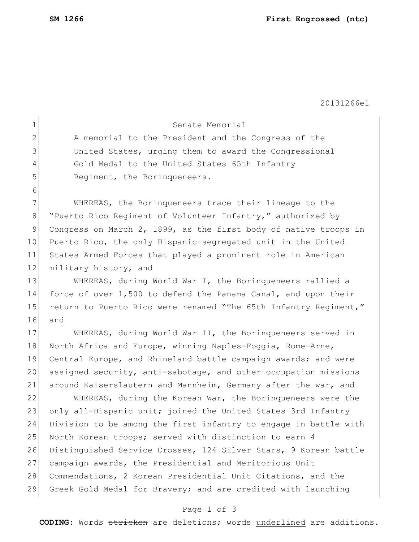20131266e1

| $\mathbf 1$    | Senate Memorial                                                  |
|----------------|------------------------------------------------------------------|
| $\overline{2}$ | A memorial to the President and the Congress of the              |
| 3              | United States, urging them to award the Congressional            |
| 4              | Gold Medal to the United States 65th Infantry                    |
| 5              | Regiment, the Borinqueneers.                                     |
| 6              |                                                                  |
| 7              | WHEREAS, the Borinqueneers trace their lineage to the            |
| 8              | "Puerto Rico Regiment of Volunteer Infantry," authorized by      |
| $\mathsf 9$    | Congress on March 2, 1899, as the first body of native troops in |
| 10             | Puerto Rico, the only Hispanic-segregated unit in the United     |
| 11             | States Armed Forces that played a prominent role in American     |
| 12             | military history, and                                            |
| 13             | WHEREAS, during World War I, the Borinqueneers rallied a         |
| 14             | force of over 1,500 to defend the Panama Canal, and upon their   |
| 15             | return to Puerto Rico were renamed "The 65th Infantry Regiment," |
| 16             | and                                                              |
| 17             | WHEREAS, during World War II, the Borinqueneers served in        |
| 18             | North Africa and Europe, winning Naples-Foggia, Rome-Arne,       |
| 19             | Central Europe, and Rhineland battle campaign awards; and were   |
| 20             | assigned security, anti-sabotage, and other occupation missions  |
| 21             | around Kaiserslautern and Mannheim, Germany after the war, and   |
| 22             | WHEREAS, during the Korean War, the Borinqueneers were the       |
| 23             | only all-Hispanic unit; joined the United States 3rd Infantry    |
| 24             | Division to be among the first infantry to engage in battle with |
| 25             | North Korean troops; served with distinction to earn 4           |
| 26             | Distinguished Service Crosses, 124 Silver Stars, 9 Korean battle |
| 27             | campaign awards, the Presidential and Meritorious Unit           |
| 28             | Commendations, 2 Korean Presidential Unit Citations, and the     |
| 29             | Greek Gold Medal for Bravery; and are credited with launching    |
|                |                                                                  |

## Page 1 of 3

**CODING**: Words stricken are deletions; words underlined are additions.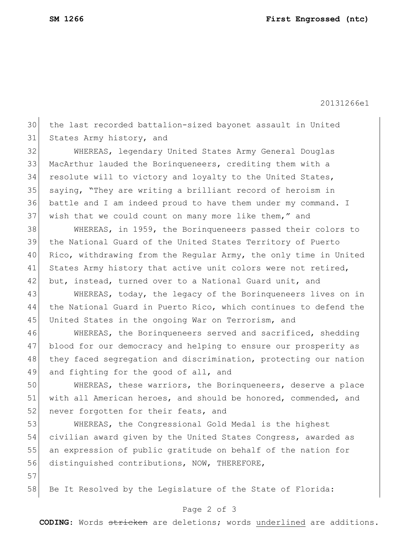20131266e1

 the last recorded battalion-sized bayonet assault in United States Army history, and WHEREAS, legendary United States Army General Douglas MacArthur lauded the Borinqueneers, crediting them with a resolute will to victory and loyalty to the United States, saying, "They are writing a brilliant record of heroism in battle and I am indeed proud to have them under my command. I 37 wish that we could count on many more like them," and WHEREAS, in 1959, the Borinqueneers passed their colors to the National Guard of the United States Territory of Puerto 40 Rico, withdrawing from the Regular Army, the only time in United 41 States Army history that active unit colors were not retired, 42 but, instead, turned over to a National Guard unit, and WHEREAS, today, the legacy of the Borinqueneers lives on in the National Guard in Puerto Rico, which continues to defend the United States in the ongoing War on Terrorism, and 46 WHEREAS, the Borinqueneers served and sacrificed, shedding blood for our democracy and helping to ensure our prosperity as 48 they faced segregation and discrimination, protecting our nation 49 and fighting for the good of all, and WHEREAS, these warriors, the Borinqueneers, deserve a place with all American heroes, and should be honored, commended, and 52 never forgotten for their feats, and WHEREAS, the Congressional Gold Medal is the highest civilian award given by the United States Congress, awarded as an expression of public gratitude on behalf of the nation for distinguished contributions, NOW, THEREFORE, 58 Be It Resolved by the Legislature of the State of Florida:

## Page 2 of 3

**CODING**: Words stricken are deletions; words underlined are additions.